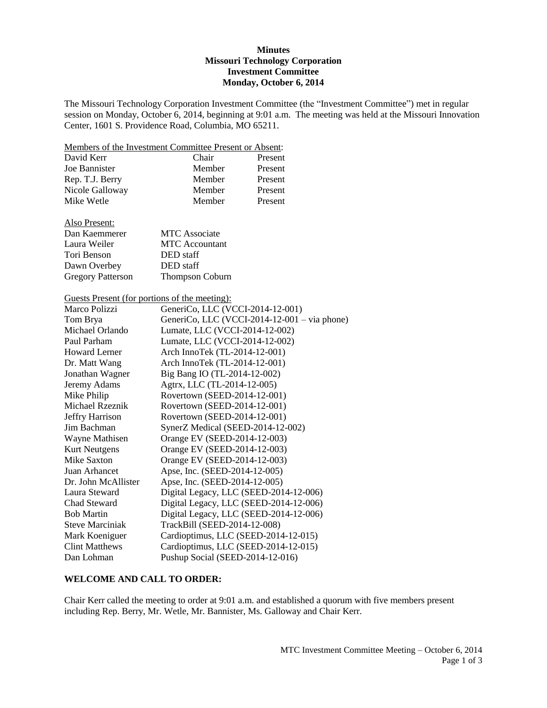### **Minutes Missouri Technology Corporation Investment Committee Monday, October 6, 2014**

The Missouri Technology Corporation Investment Committee (the "Investment Committee") met in regular session on Monday, October 6, 2014, beginning at 9:01 a.m. The meeting was held at the Missouri Innovation Center, 1601 S. Providence Road, Columbia, MO 65211.

Members of the Investment Committee Present or Absent:

| David Kerr      | Chair  | Present |
|-----------------|--------|---------|
| Joe Bannister   | Member | Present |
| Rep. T.J. Berry | Member | Present |
| Nicole Galloway | Member | Present |
| Mike Wetle      | Member | Present |

| Also Present: |
|---------------|
|               |

| Dan Kaemmerer            | <b>MTC</b> Associate   |
|--------------------------|------------------------|
| Laura Weiler             | <b>MTC</b> Accountant  |
| Tori Benson              | DED staff              |
| Dawn Overbey             | DED staff              |
| <b>Gregory Patterson</b> | <b>Thompson Coburn</b> |

Guests Present (for portions of the meeting):

| Marco Polizzi          | GeneriCo, LLC (VCCI-2014-12-001)             |
|------------------------|----------------------------------------------|
| Tom Brya               | GeneriCo, LLC (VCCI-2014-12-001 – via phone) |
| Michael Orlando        | Lumate, LLC (VCCI-2014-12-002)               |
| Paul Parham            | Lumate, LLC (VCCI-2014-12-002)               |
| <b>Howard Lerner</b>   | Arch InnoTek (TL-2014-12-001)                |
| Dr. Matt Wang          | Arch InnoTek (TL-2014-12-001)                |
| Jonathan Wagner        | Big Bang IO (TL-2014-12-002)                 |
| Jeremy Adams           | Agtrx, LLC (TL-2014-12-005)                  |
| Mike Philip            | Rovertown (SEED-2014-12-001)                 |
| Michael Rzeznik        | Rovertown (SEED-2014-12-001)                 |
| <b>Jeffry Harrison</b> | Rovertown (SEED-2014-12-001)                 |
| Jim Bachman            | SynerZ Medical (SEED-2014-12-002)            |
| Wayne Mathisen         | Orange EV (SEED-2014-12-003)                 |
| <b>Kurt Neutgens</b>   | Orange EV (SEED-2014-12-003)                 |
| Mike Saxton            | Orange EV (SEED-2014-12-003)                 |
| Juan Arhancet          | Apse, Inc. (SEED-2014-12-005)                |
| Dr. John McAllister    | Apse, Inc. (SEED-2014-12-005)                |
| Laura Steward          | Digital Legacy, LLC (SEED-2014-12-006)       |
| Chad Steward           | Digital Legacy, LLC (SEED-2014-12-006)       |
| <b>Bob Martin</b>      | Digital Legacy, LLC (SEED-2014-12-006)       |
| <b>Steve Marciniak</b> | TrackBill (SEED-2014-12-008)                 |
| Mark Koeniguer         | Cardioptimus, LLC (SEED-2014-12-015)         |
| <b>Clint Matthews</b>  | Cardioptimus, LLC (SEED-2014-12-015)         |
| Dan Lohman             | Pushup Social (SEED-2014-12-016)             |

#### **WELCOME AND CALL TO ORDER:**

Chair Kerr called the meeting to order at 9:01 a.m. and established a quorum with five members present including Rep. Berry, Mr. Wetle, Mr. Bannister, Ms. Galloway and Chair Kerr.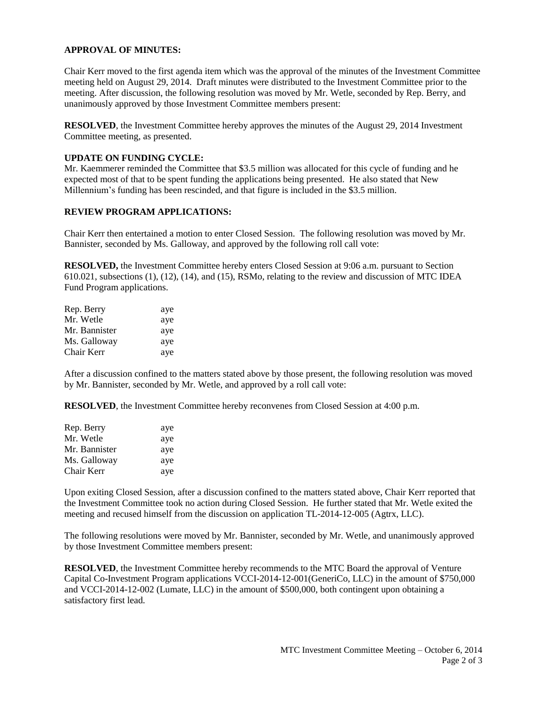# **APPROVAL OF MINUTES:**

Chair Kerr moved to the first agenda item which was the approval of the minutes of the Investment Committee meeting held on August 29, 2014. Draft minutes were distributed to the Investment Committee prior to the meeting. After discussion, the following resolution was moved by Mr. Wetle, seconded by Rep. Berry, and unanimously approved by those Investment Committee members present:

**RESOLVED**, the Investment Committee hereby approves the minutes of the August 29, 2014 Investment Committee meeting, as presented.

# **UPDATE ON FUNDING CYCLE:**

Mr. Kaemmerer reminded the Committee that \$3.5 million was allocated for this cycle of funding and he expected most of that to be spent funding the applications being presented. He also stated that New Millennium's funding has been rescinded, and that figure is included in the \$3.5 million.

# **REVIEW PROGRAM APPLICATIONS:**

Chair Kerr then entertained a motion to enter Closed Session. The following resolution was moved by Mr. Bannister, seconded by Ms. Galloway, and approved by the following roll call vote:

**RESOLVED,** the Investment Committee hereby enters Closed Session at 9:06 a.m. pursuant to Section 610.021, subsections (1), (12), (14), and (15), RSMo, relating to the review and discussion of MTC IDEA Fund Program applications.

| Rep. Berry    | aye |
|---------------|-----|
| Mr. Wetle     | aye |
| Mr. Bannister | aye |
| Ms. Galloway  | aye |
| Chair Kerr    | aye |

After a discussion confined to the matters stated above by those present, the following resolution was moved by Mr. Bannister, seconded by Mr. Wetle, and approved by a roll call vote:

**RESOLVED**, the Investment Committee hereby reconvenes from Closed Session at 4:00 p.m.

| Rep. Berry    | aye |
|---------------|-----|
| Mr. Wetle     | aye |
| Mr. Bannister | aye |
| Ms. Galloway  | aye |
| Chair Kerr    | aye |

Upon exiting Closed Session, after a discussion confined to the matters stated above, Chair Kerr reported that the Investment Committee took no action during Closed Session. He further stated that Mr. Wetle exited the meeting and recused himself from the discussion on application TL-2014-12-005 (Agtrx, LLC).

The following resolutions were moved by Mr. Bannister, seconded by Mr. Wetle, and unanimously approved by those Investment Committee members present:

**RESOLVED**, the Investment Committee hereby recommends to the MTC Board the approval of Venture Capital Co-Investment Program applications VCCI-2014-12-001(GeneriCo, LLC) in the amount of \$750,000 and VCCI-2014-12-002 (Lumate, LLC) in the amount of \$500,000, both contingent upon obtaining a satisfactory first lead.